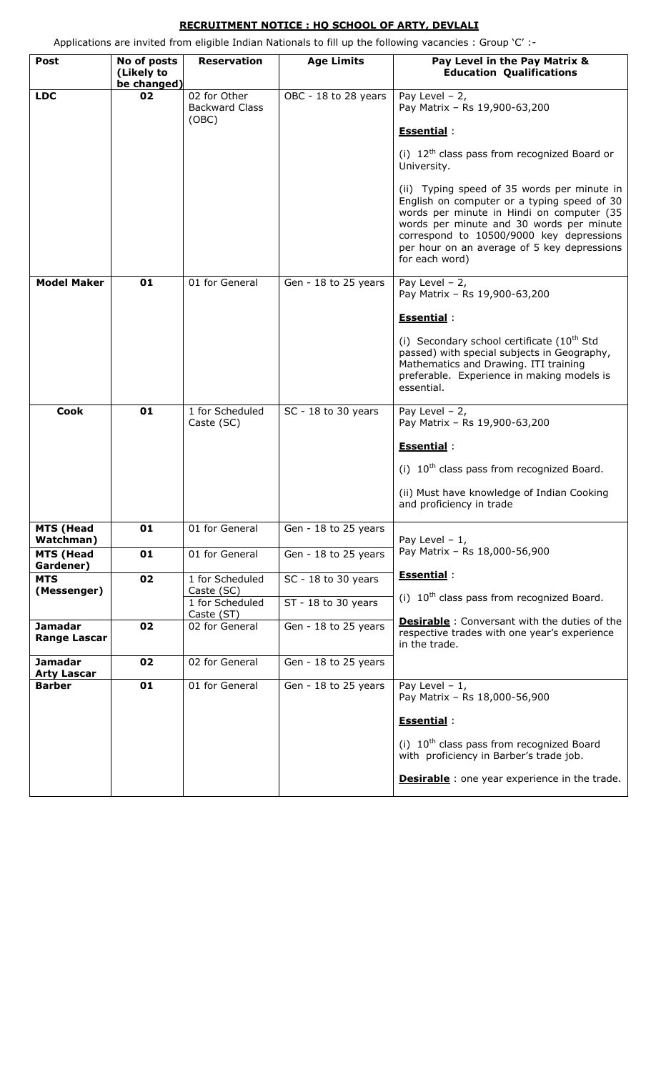# **RECRUITMENT NOTICE : HQ SCHOOL OF ARTY, DEVLALI**

Applications are invited from eligible Indian Nationals to fill up the following vacancies : Group 'C' :-

| Post                                  | No of posts<br>(Likely to | <b>Reservation</b>                             | <b>Age Limits</b>    | Pay Level in the Pay Matrix &<br><b>Education Qualifications</b>                                                                                                                                                                                                                                 |  |
|---------------------------------------|---------------------------|------------------------------------------------|----------------------|--------------------------------------------------------------------------------------------------------------------------------------------------------------------------------------------------------------------------------------------------------------------------------------------------|--|
|                                       | be changed)               |                                                |                      |                                                                                                                                                                                                                                                                                                  |  |
| <b>LDC</b>                            | 02                        | 02 for Other<br><b>Backward Class</b><br>(OBC) | OBC - 18 to 28 years | Pay Level $-2$ ,<br>Pay Matrix - Rs 19,900-63,200                                                                                                                                                                                                                                                |  |
|                                       |                           |                                                |                      | Essential:                                                                                                                                                                                                                                                                                       |  |
|                                       |                           |                                                |                      | (i) $12^{th}$ class pass from recognized Board or<br>University.                                                                                                                                                                                                                                 |  |
|                                       |                           |                                                |                      | (ii) Typing speed of 35 words per minute in<br>English on computer or a typing speed of 30<br>words per minute in Hindi on computer (35<br>words per minute and 30 words per minute<br>correspond to 10500/9000 key depressions<br>per hour on an average of 5 key depressions<br>for each word) |  |
| <b>Model Maker</b>                    | 01                        | 01 for General                                 | Gen - 18 to 25 years | Pay Level $-2$ ,<br>Pay Matrix - Rs 19,900-63,200                                                                                                                                                                                                                                                |  |
|                                       |                           |                                                |                      | Essential:                                                                                                                                                                                                                                                                                       |  |
|                                       |                           |                                                |                      | (i) Secondary school certificate $(10^{th}$ Std<br>passed) with special subjects in Geography,<br>Mathematics and Drawing. ITI training<br>preferable. Experience in making models is<br>essential.                                                                                              |  |
| <b>Cook</b>                           | 01                        | 1 for Scheduled<br>Caste (SC)                  | SC - 18 to 30 years  | Pay Level $-2$ ,<br>Pay Matrix - Rs 19,900-63,200                                                                                                                                                                                                                                                |  |
|                                       |                           |                                                |                      | Essential:                                                                                                                                                                                                                                                                                       |  |
|                                       |                           |                                                |                      | (i) $10^{th}$ class pass from recognized Board.                                                                                                                                                                                                                                                  |  |
|                                       |                           |                                                |                      | (ii) Must have knowledge of Indian Cooking<br>and proficiency in trade                                                                                                                                                                                                                           |  |
| <b>MTS (Head</b><br>Watchman)         | 01                        | 01 for General                                 | Gen - 18 to 25 years | Pay Level $-1$ ,                                                                                                                                                                                                                                                                                 |  |
| <b>MTS (Head</b><br>Gardener)         | 01                        | 01 for General                                 | Gen - 18 to 25 years | Pay Matrix - Rs 18,000-56,900                                                                                                                                                                                                                                                                    |  |
| <b>MTS</b><br>(Messenger)             | 02                        | 1 for Scheduled<br>Caste (SC)                  | SC - 18 to 30 years  | Essential:                                                                                                                                                                                                                                                                                       |  |
|                                       |                           | 1 for Scheduled<br>Caste (ST)                  | ST - 18 to 30 years  | (i) $10^{th}$ class pass from recognized Board.                                                                                                                                                                                                                                                  |  |
| <b>Jamadar</b><br><b>Range Lascar</b> | 02                        | 02 for General                                 | Gen - 18 to 25 years | <b>Desirable</b> : Conversant with the duties of the<br>respective trades with one year's experience<br>in the trade.                                                                                                                                                                            |  |
| <b>Jamadar</b><br><b>Arty Lascar</b>  | 02                        | 02 for General                                 | Gen - 18 to 25 years |                                                                                                                                                                                                                                                                                                  |  |
| <b>Barber</b>                         | 01                        | 01 for General                                 | Gen - 18 to 25 years | Pay Level $-1$ ,<br>Pay Matrix - Rs 18,000-56,900                                                                                                                                                                                                                                                |  |
|                                       |                           |                                                |                      | Essential:                                                                                                                                                                                                                                                                                       |  |
|                                       |                           |                                                |                      | (i) $10^{th}$ class pass from recognized Board<br>with proficiency in Barber's trade job.                                                                                                                                                                                                        |  |
|                                       |                           |                                                |                      | <b>Desirable</b> : one year experience in the trade.                                                                                                                                                                                                                                             |  |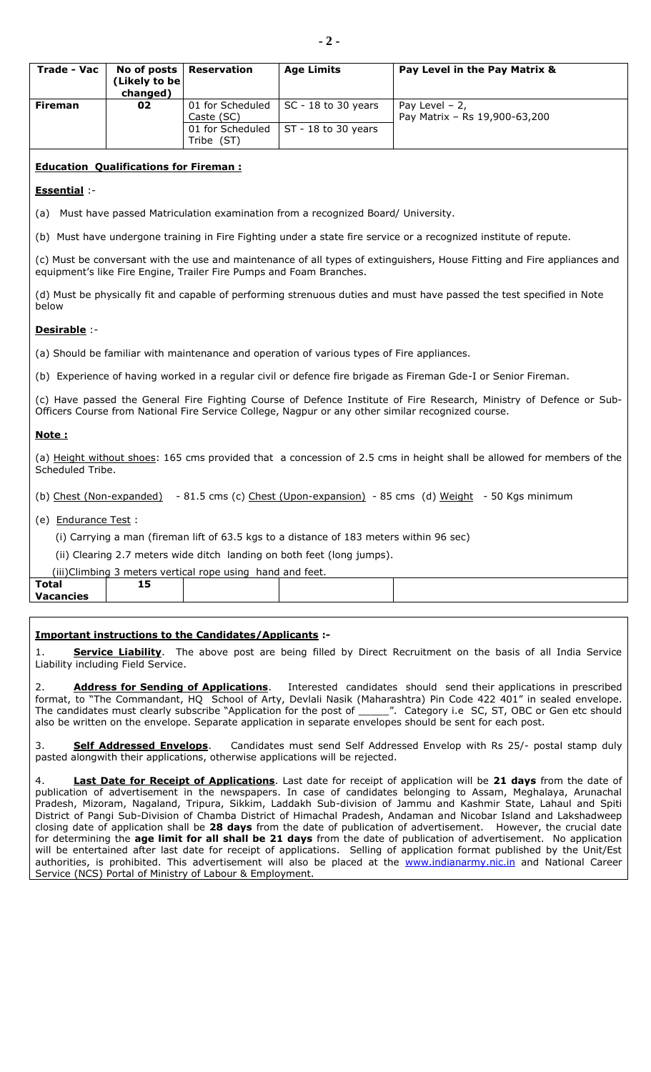| v |
|---|
|---|

| Trade - Vac    | (Likely to be<br>changed) | No of posts $\vert$ Reservation                    | <b>Age Limits</b>                                     | Pay Level in the Pay Matrix &                     |
|----------------|---------------------------|----------------------------------------------------|-------------------------------------------------------|---------------------------------------------------|
| <b>Fireman</b> | 02                        | 01 for Scheduled<br>Caste (SC)<br>01 for Scheduled | $\sqrt{SC - 18}$ to 30 years<br>$ST - 18$ to 30 years | Pay Level $-2$ ,<br>Pay Matrix - Rs 19,900-63,200 |
|                |                           | Tribe (ST)                                         |                                                       |                                                   |

#### **Education Qualifications for Fireman :**

#### **Essential** :-

(a) Must have passed Matriculation examination from a recognized Board/ University.

(b) Must have undergone training in Fire Fighting under a state fire service or a recognized institute of repute.

(c) Must be conversant with the use and maintenance of all types of extinguishers, House Fitting and Fire appliances and equipment's like Fire Engine, Trailer Fire Pumps and Foam Branches.

(d) Must be physically fit and capable of performing strenuous duties and must have passed the test specified in Note below

## **Desirable** :-

(a) Should be familiar with maintenance and operation of various types of Fire appliances.

(b) Experience of having worked in a regular civil or defence fire brigade as Fireman Gde-I or Senior Fireman.

(c) Have passed the General Fire Fighting Course of Defence Institute of Fire Research, Ministry of Defence or Sub-Officers Course from National Fire Service College, Nagpur or any other similar recognized course.

#### **Note :**

(a) Height without shoes: 165 cms provided that a concession of 2.5 cms in height shall be allowed for members of the Scheduled Tribe.

(b) Chest (Non-expanded) - 81.5 cms (c) Chest (Upon-expansion) - 85 cms (d) Weight - 50 Kgs minimum

(e) Endurance Test :

(i) Carrying a man (fireman lift of 63.5 kgs to a distance of 183 meters within 96 sec)

(ii) Clearing 2.7 meters wide ditch landing on both feet (long jumps).

(iii)Climbing 3 meters vertical rope using hand and feet.

**Total Vacancies 15**

#### **Important instructions to the Candidates/Applicants :-**

1. **Service Liability**. The above post are being filled by Direct Recruitment on the basis of all India Service Liability including Field Service.

2. **Address for Sending of Applications**. Interested candidates should send their applications in prescribed format, to "The Commandant, HQ School of Arty, Devlali Nasik (Maharashtra) Pin Code 422 401" in sealed envelope. The candidates must clearly subscribe "Application for the post of \_\_\_\_\_". Category i.e SC, ST, OBC or Gen etc should also be written on the envelope. Separate application in separate envelopes should be sent for each post.

3. **Self Addressed Envelops**. Candidates must send Self Addressed Envelop with Rs 25/- postal stamp duly pasted alongwith their applications, otherwise applications will be rejected.

4. **Last Date for Receipt of Applications**. Last date for receipt of application will be **21 days** from the date of publication of advertisement in the newspapers. In case of candidates belonging to Assam, Meghalaya, Arunachal Pradesh, Mizoram, Nagaland, Tripura, Sikkim, Laddakh Sub-division of Jammu and Kashmir State, Lahaul and Spiti District of Pangi Sub-Division of Chamba District of Himachal Pradesh, Andaman and Nicobar Island and Lakshadweep closing date of application shall be **28 days** from the date of publication of advertisement. However, the crucial date for determining the **age limit for all shall be 21 days** from the date of publication of advertisement. No application will be entertained after last date for receipt of applications. Selling of application format published by the Unit/Est authorities, is prohibited. This advertisement will also be placed at the [www.indianarmy.nic.in](http://www.indianarmy.nic.in/) and National Career Service (NCS) Portal of Ministry of Labour & Employment.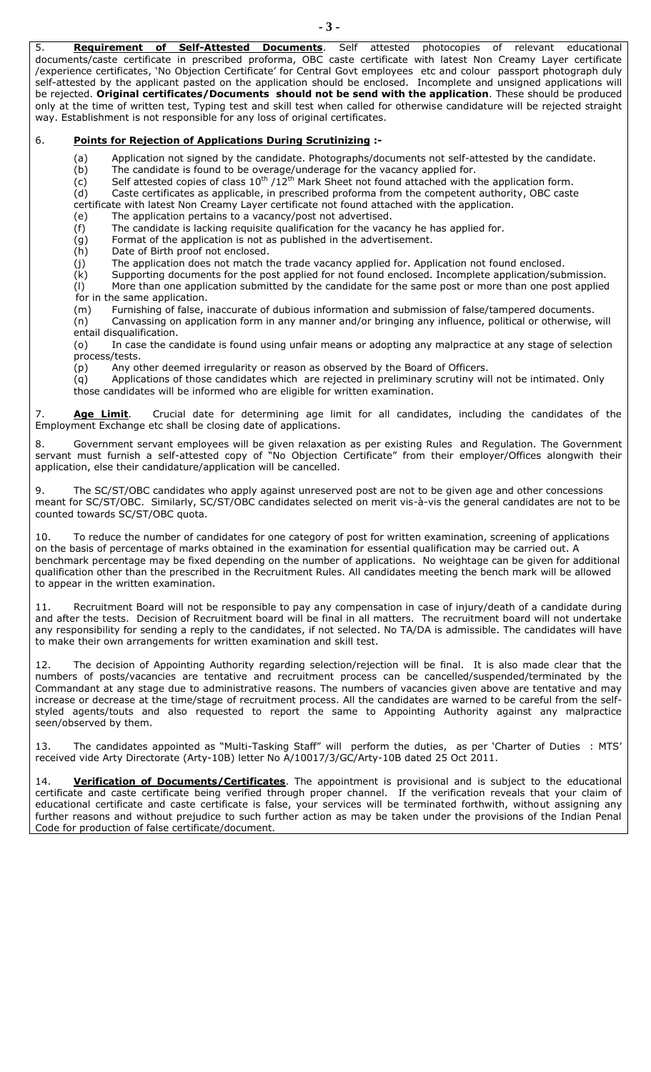5. **Requirement of Self-Attested Documents**. Self attested photocopies of relevant educational documents/caste certificate in prescribed proforma, OBC caste certificate with latest Non Creamy Layer certificate /experience certificates, 'No Objection Certificate' for Central Govt employees etc and colour passport photograph duly self-attested by the applicant pasted on the application should be enclosed. Incomplete and unsigned applications will be rejected. **Original certificates/Documents should not be send with the application**. These should be produced only at the time of written test, Typing test and skill test when called for otherwise candidature will be rejected straight way. Establishment is not responsible for any loss of original certificates.

## 6. **Points for Rejection of Applications During Scrutinizing :-**

- (a) Application not signed by the candidate. Photographs/documents not self-attested by the candidate.
- (b) The candidate is found to be overage/underage for the vacancy applied for.
- (c) Self attested copies of class  $10^{th}$  /12<sup>th</sup> Mark Sheet not found attached with the application form.
- (d) Caste certificates as applicable, in prescribed proforma from the competent authority, OBC caste
- certificate with latest Non Creamy Layer certificate not found attached with the application.
- (e) The application pertains to a vacancy/post not advertised.
- (f) The candidate is lacking requisite qualification for the vacancy he has applied for.
- (g) Format of the application is not as published in the advertisement.
- (h) Date of Birth proof not enclosed.
- (j) The application does not match the trade vacancy applied for. Application not found enclosed.
- (k) Supporting documents for the post applied for not found enclosed. Incomplete application/submission.
- $\overline{I}(l)$  More than one application submitted by the candidate for the same post or more than one post applied for in the same application.

(m) Furnishing of false, inaccurate of dubious information and submission of false/tampered documents. (n) Canvassing on application form in any manner and/or bringing any influence, political or otherwise, will entail disqualification.

(o) In case the candidate is found using unfair means or adopting any malpractice at any stage of selection process/tests.

(p) Any other deemed irregularity or reason as observed by the Board of Officers.

(q) Applications of those candidates which are rejected in preliminary scrutiny will not be intimated. Only those candidates will be informed who are eligible for written examination.

7. **Age Limit**. Crucial date for determining age limit for all candidates, including the candidates of the Employment Exchange etc shall be closing date of applications.

8. Government servant employees will be given relaxation as per existing Rules and Regulation. The Government servant must furnish a self-attested copy of "No Objection Certificate" from their employer/Offices alongwith their application, else their candidature/application will be cancelled.

9. The SC/ST/OBC candidates who apply against unreserved post are not to be given age and other concessions meant for SC/ST/OBC. Similarly, SC/ST/OBC candidates selected on merit vis-à-vis the general candidates are not to be counted towards SC/ST/OBC quota.

10. To reduce the number of candidates for one category of post for written examination, screening of applications on the basis of percentage of marks obtained in the examination for essential qualification may be carried out. A benchmark percentage may be fixed depending on the number of applications. No weightage can be given for additional qualification other than the prescribed in the Recruitment Rules. All candidates meeting the bench mark will be allowed to appear in the written examination.

11. Recruitment Board will not be responsible to pay any compensation in case of injury/death of a candidate during and after the tests. Decision of Recruitment board will be final in all matters. The recruitment board will not undertake any responsibility for sending a reply to the candidates, if not selected. No TA/DA is admissible. The candidates will have to make their own arrangements for written examination and skill test.

12. The decision of Appointing Authority regarding selection/rejection will be final. It is also made clear that the numbers of posts/vacancies are tentative and recruitment process can be cancelled/suspended/terminated by the Commandant at any stage due to administrative reasons. The numbers of vacancies given above are tentative and may increase or decrease at the time/stage of recruitment process. All the candidates are warned to be careful from the selfstyled agents/touts and also requested to report the same to Appointing Authority against any malpractice seen/observed by them.

13. The candidates appointed as "Multi-Tasking Staff" will perform the duties, as per 'Charter of Duties : MTS' received vide Arty Directorate (Arty-10B) letter No A/10017/3/GC/Arty-10B dated 25 Oct 2011.

14. **Verification of Documents/Certificates**. The appointment is provisional and is subject to the educational certificate and caste certificate being verified through proper channel. If the verification reveals that your claim of educational certificate and caste certificate is false, your services will be terminated forthwith, without assigning any further reasons and without prejudice to such further action as may be taken under the provisions of the Indian Penal Code for production of false certificate/document.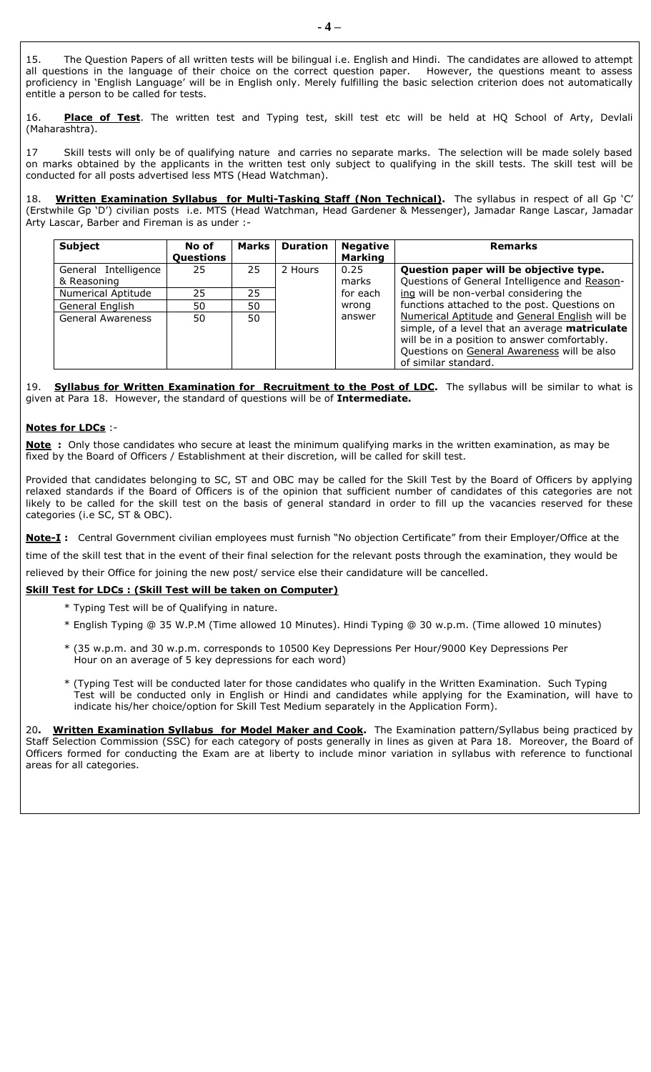15. The Question Papers of all written tests will be bilingual i.e. English and Hindi. The candidates are allowed to attempt all questions in the language of their choice on the correct question paper. However, the questions meant to assess proficiency in 'English Language' will be in English only. Merely fulfilling the basic selection criterion does not automatically entitle a person to be called for tests.

16. **Place of Test**. The written test and Typing test, skill test etc will be held at HQ School of Arty, Devlali (Maharashtra).

17 Skill tests will only be of qualifying nature and carries no separate marks. The selection will be made solely based on marks obtained by the applicants in the written test only subject to qualifying in the skill tests. The skill test will be conducted for all posts advertised less MTS (Head Watchman).

18. **Written Examination Syllabus for Multi-Tasking Staff (Non Technical).** The syllabus in respect of all Gp 'C' (Erstwhile Gp 'D') civilian posts i.e. MTS (Head Watchman, Head Gardener & Messenger), Jamadar Range Lascar, Jamadar Arty Lascar, Barber and Fireman is as under :-

| <b>Subject</b>                      | No of<br>Questions | Marks | <b>Duration</b> | <b>Negative</b><br><b>Marking</b> | <b>Remarks</b>                                                                                                                                                                                                          |
|-------------------------------------|--------------------|-------|-----------------|-----------------------------------|-------------------------------------------------------------------------------------------------------------------------------------------------------------------------------------------------------------------------|
| General Intelligence<br>& Reasoning | 25                 | 25    | 2 Hours         | 0.25<br>marks                     | Question paper will be objective type.<br>Questions of General Intelligence and Reason-                                                                                                                                 |
| Numerical Aptitude                  | 25                 | 25    |                 | for each                          | ing will be non-verbal considering the                                                                                                                                                                                  |
| General English                     | 50                 | 50    |                 | wrong                             | functions attached to the post. Questions on                                                                                                                                                                            |
| <b>General Awareness</b>            | 50                 | 50    |                 | answer                            | Numerical Aptitude and General English will be<br>simple, of a level that an average matriculate<br>will be in a position to answer comfortably.<br>Questions on General Awareness will be also<br>of similar standard. |

#### 19. **Syllabus for Written Examination for Recruitment to the Post of LDC.** The syllabus will be similar to what is given at Para 18. However, the standard of questions will be of **Intermediate.**

#### **Notes for LDCs** :-

**Note :** Only those candidates who secure at least the minimum qualifying marks in the written examination, as may be fixed by the Board of Officers / Establishment at their discretion, will be called for skill test.

Provided that candidates belonging to SC, ST and OBC may be called for the Skill Test by the Board of Officers by applying relaxed standards if the Board of Officers is of the opinion that sufficient number of candidates of this categories are not likely to be called for the skill test on the basis of general standard in order to fill up the vacancies reserved for these categories (i.e SC, ST & OBC).

**Note-I :** Central Government civilian employees must furnish "No objection Certificate" from their Employer/Office at the

time of the skill test that in the event of their final selection for the relevant posts through the examination, they would be

relieved by their Office for joining the new post/ service else their candidature will be cancelled.

## **Skill Test for LDCs : (Skill Test will be taken on Computer)**

- \* Typing Test will be of Qualifying in nature.
- \* English Typing @ 35 W.P.M (Time allowed 10 Minutes). Hindi Typing @ 30 w.p.m. (Time allowed 10 minutes)
- \* (35 w.p.m. and 30 w.p.m. corresponds to 10500 Key Depressions Per Hour/9000 Key Depressions Per Hour on an average of 5 key depressions for each word)
- \* (Typing Test will be conducted later for those candidates who qualify in the Written Examination. Such Typing Test will be conducted only in English or Hindi and candidates while applying for the Examination, will have to indicate his/her choice/option for Skill Test Medium separately in the Application Form).

20**. Written Examination Syllabus for Model Maker and Cook.** The Examination pattern/Syllabus being practiced by Staff Selection Commission (SSC) for each category of posts generally in lines as given at Para 18. Moreover, the Board of Officers formed for conducting the Exam are at liberty to include minor variation in syllabus with reference to functional areas for all categories.